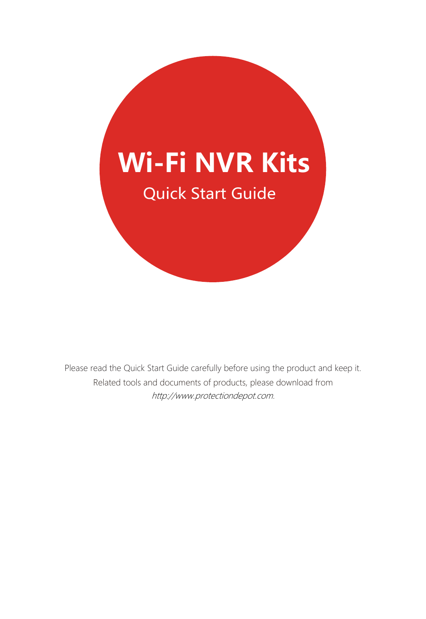

Please read the Quick Start Guide carefully before using the product and keep it. Related tools and documents of products, please download from [http://www.protectiondepot.com.](https://www.protectiondepot.com/4-channel-wifi-security-camera-system.html)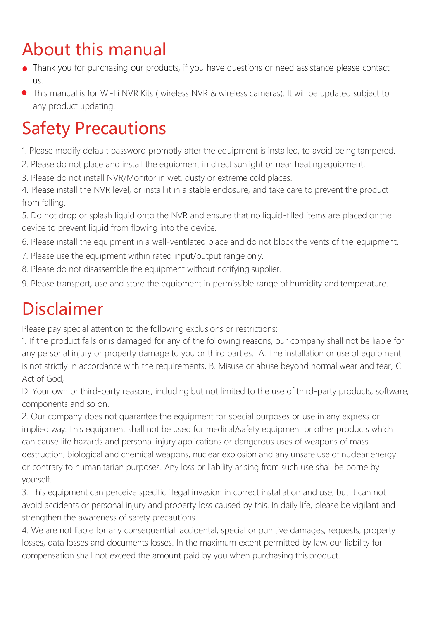# About this manual

- Thank you for purchasing our products, if you have questions or need assistance please contact us.
- This manual is for Wi-Fi NVR Kits ( wireless NVR & wireless cameras). It will be updated subject to any product updating.

# Safety Precautions

- 1. Please modify default password promptly after the equipment is installed, to avoid being tampered.
- 2. Please do not place and install the equipment in direct sunlight or near heatingequipment.
- 3. Please do not install NVR/Monitor in wet, dusty or extreme cold places.
- 4. Please install the NVR level, or install it in a stable enclosure, and take care to prevent the product from falling.

5. Do not drop or splash liquid onto the NVR and ensure that no liquid-filled items are placed onthe device to prevent liquid from flowing into the device.

6. Please install the equipment in a well-ventilated place and do not block the vents of the equipment.

- 7. Please use the equipment within rated input/output range only.
- 8. Please do not disassemble the equipment without notifying supplier.
- 9. Please transport, use and store the equipment in permissible range of humidity and temperature.

# Disclaimer

Please pay special attention to the following exclusions or restrictions:

1. If the product fails or is damaged for any of the following reasons, our company shall not be liable for any personal injury or property damage to you or third parties: A. The installation or use of equipment is not strictly in accordance with the requirements, B. Misuse or abuse beyond normal wear and tear, C. Act of God,

D. Your own or third-party reasons, including but not limited to the use of third-party products, software, components and so on.

2. Our company does not guarantee the equipment for special purposes or use in any express or implied way. This equipment shall not be used for medical/safety equipment or other products which can cause life hazards and personal injury applications or dangerous uses of weapons of mass destruction, biological and chemical weapons, nuclear explosion and any unsafe use of nuclear energy or contrary to humanitarian purposes. Any loss or liability arising from such use shall be borne by yourself.

3. This equipment can perceive specific illegal invasion in correct installation and use, but it can not avoid accidents or personal injury and property loss caused by this. In daily life, please be vigilant and strengthen the awareness of safety precautions.

4. We are not liable for any consequential, accidental, special or punitive damages, requests, property losses, data losses and documents losses. In the maximum extent permitted by law, our liability for compensation shall not exceed the amount paid by you when purchasing thisproduct.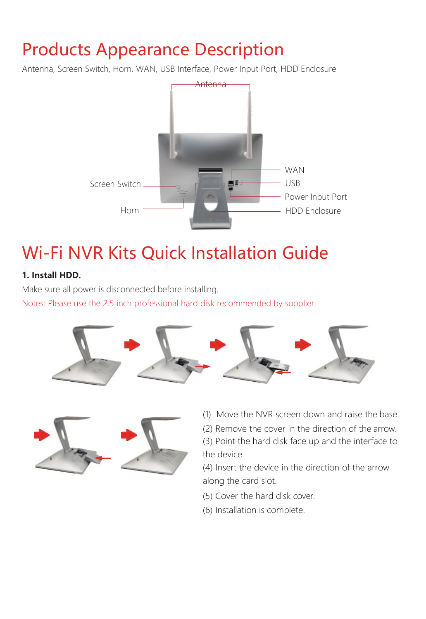### Products Appearance Description

Antenna, Screen Switch, Horn, WAN, USB Interface, Power Input Port, HDD Enclosure



## Wi-Fi NVR Kits Quick Installation Guide

#### **1. Install HDD.**

Make sure all power is disconnected before installing.

Notes: Please use the 2.5 inch professional hard disk recommended by supplier.





- (1) Move the NVR screen down and raise the base.
- (2) Remove the cover in the direction of the arrow.

(3) Point the hard disk face up and the interface to the device.

(4) Insert the device in the direction of the arrow along the card slot.

- (5) Cover the hard disk cover.
- (6) Installation is complete.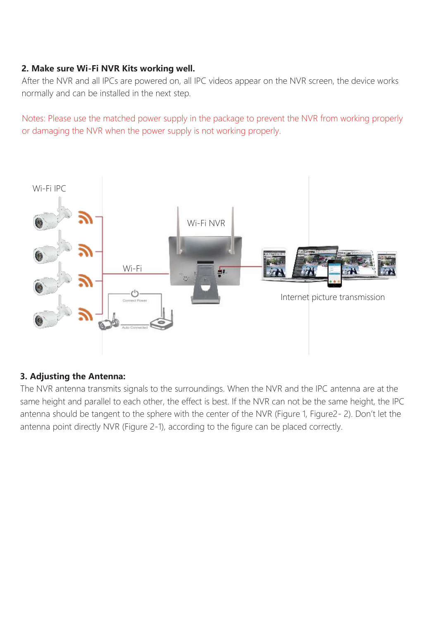#### **2. Make sure Wi-Fi NVR Kits working well.**

After the NVR and all IPCs are powered on, all IPC videos appear on the NVR screen, the device works normally and can be installed in the next step.

Notes: Please use the matched power supply in the package to prevent the NVR from working properly or damaging the NVR when the power supply is not working properly.



#### **3. Adjusting the Antenna:**

The NVR antenna transmits signals to the surroundings. When the NVR and the IPC antenna are at the same height and parallel to each other, the effect is best. If the NVR can not be the same height, the IPC antenna should be tangent to the sphere with the center of the NVR (Figure 1, Figure2- 2). Don't let the antenna point directly NVR (Figure 2-1), according to the figure can be placed correctly.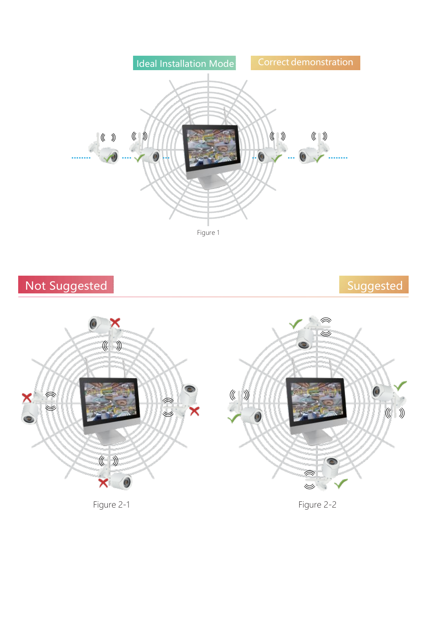





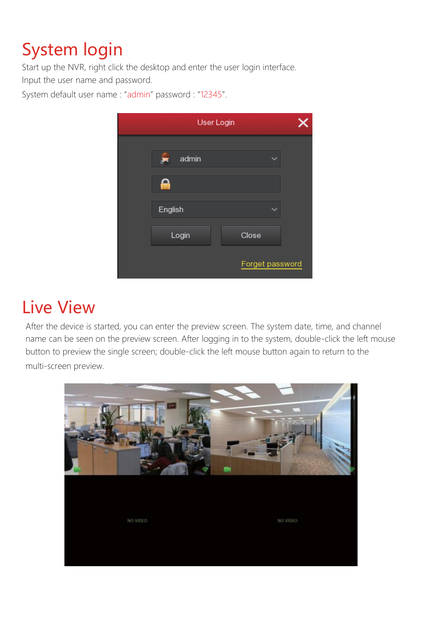# System login

Start up the NVR, right click the desktop and enter the user login interface. Input the user name and password.

System default user name : "admin" password : "12345".

| <b>User Login</b> |  |  |  |
|-------------------|--|--|--|
| admin<br>۳        |  |  |  |
|                   |  |  |  |
| English           |  |  |  |
| Login<br>Close    |  |  |  |
| Forget password   |  |  |  |

#### Live View

After the device is started, you can enter the preview screen. The system date, time, and channel name can be seen on the preview screen. After logging in to the system, double-click the left mouse button to preview the single screen; double-click the left mouse button again to return to the multi-screen preview.

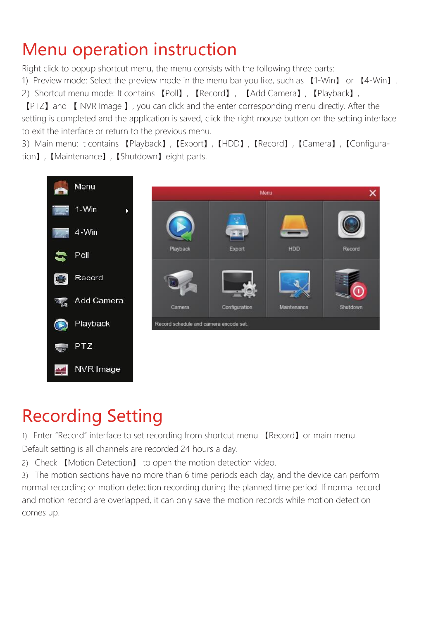## Menu operation instruction

Right click to popup shortcut menu, the menu consists with the following three parts:

1) Preview mode: Select the preview mode in the menu bar you like, such as 【1-Win】 or 【4-Win】.

2) Shortcut menu mode: It contains 【Poll】, 【Record】, 【Add Camera】, 【Playback】,

【PTZ】and 【 NVR Image 】, you can click and the enter corresponding menu directly. After the setting is completed and the application is saved, click the right mouse button on the setting interface to exit the interface or return to the previous menu.

3)Main menu: It contains 【Playback】,【Export】,【HDD】,【Record】,【Camera】,【Configuration】,【Maintenance】,【Shutdown】eight parts.



# Recording Setting

1) Enter "Record" interface to set recording from shortcut menu 【Record】or main menu. Default setting is all channels are recorded 24 hours a day.

2) Check 【Motion Detection】 to open the motion detection video.

3) The motion sections have no more than 6 time periods each day, and the device can perform normal recording or motion detection recording during the planned time period. If normal record and motion record are overlapped, it can only save the motion records while motion detection comes up.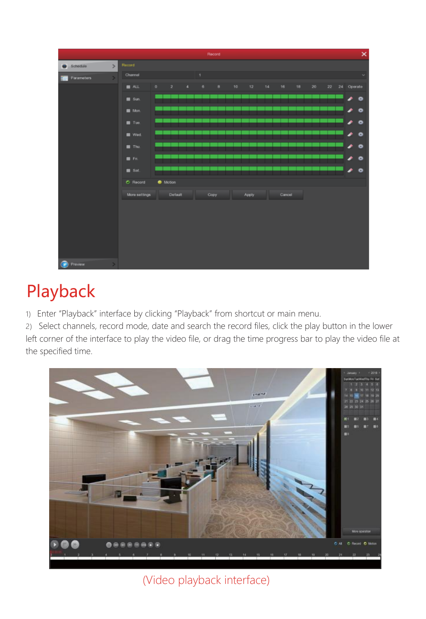

### Playback

1) Enter "Playback" interface by clicking "Playback" from shortcut or main menu.

2) Select channels, record mode, date and search the record files, click the play button in the lower left corner of the interface to play the video file, or drag the time progress bar to play the video file at the specified time.



#### (Video playback interface)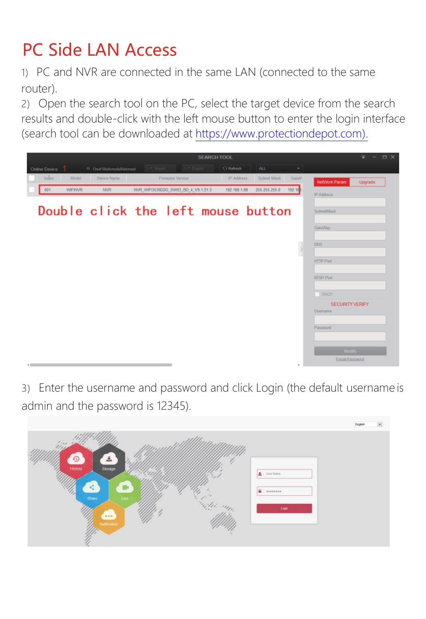# PC Side LAN Access

1) PC and NVR are connected in the same LAN (connected to the same router).

2) Open the search tool on the PC, select the target device from the search results and double-click with the left mouse button to enter the login interface (search tool can be downloaded at [https://www.protectiondepot.com\).](https://www.protectiondepot.com/4-channel-wifi-security-camera-system.html)



3) Enter the username and password and click Login (the default username is admin and the password is 12345).

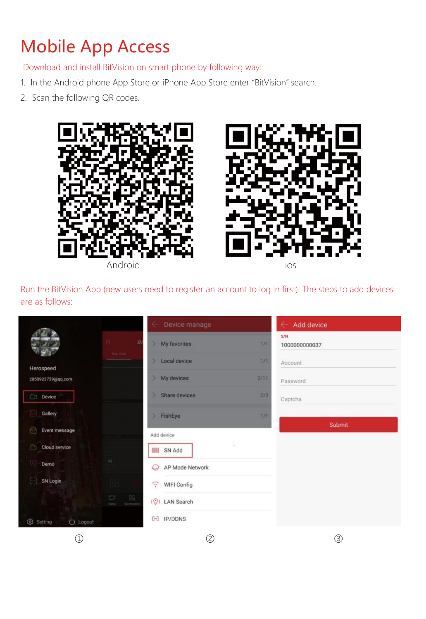# Mobile App Access

Download and install BitVision on smart phone by following way:

- 1. In the Android phone App Store or iPhone App Store enter "BitVision" search.
- 2. Scan the following QR codes.



Run the BitVision App (new users need to register an account to log in first). The steps to add devices are as follows:

|                                |                             | Device manage<br>$\leftarrow$    |      | $\leftarrow$ Add device |  |
|--------------------------------|-----------------------------|----------------------------------|------|-------------------------|--|
|                                | $\Omega$<br>B<br>Nobleton   | > My favorites                   | 7/7  | S/N<br>1000000000037    |  |
| Herospeed                      |                             | > Local device                   | 1/1  | Account                 |  |
| 2850923739@qq.com              |                             | > My devices                     | 2/11 | Password                |  |
| Device.<br>'n                  |                             | $>$ Share devices                | 2/3  | Captcha                 |  |
| Gallery                        |                             | > FishEye                        | 7/1  |                         |  |
| Event message                  |                             | Add device                       |      | Submit                  |  |
| Cloud service<br>B             |                             | III SN Add                       |      |                         |  |
| Demo                           | ×                           | AP Mode Network                  |      |                         |  |
| SN Login                       | 101                         | $\widehat{\cdot}$<br>WIFI Config |      |                         |  |
|                                | 良<br>四<br>Soverate<br>Video | (O) LAN Search                   |      |                         |  |
| (1) Logout<br><b>Q</b> Setting |                             | $[-]$ IP/DDNS                    |      |                         |  |
| C                              |                             | ⊘                                |      | C                       |  |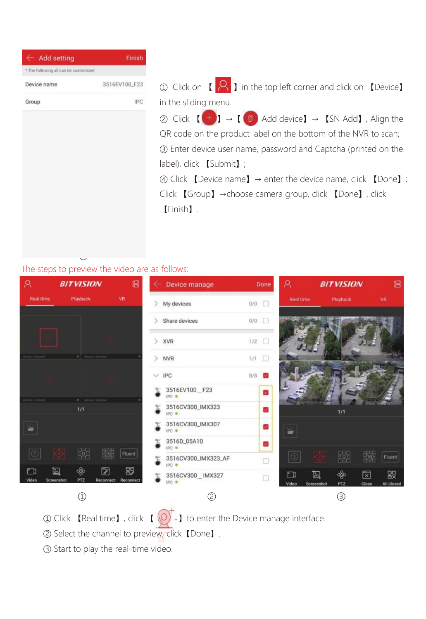| <b>Add setting</b><br>÷               | Finish        |
|---------------------------------------|---------------|
| * The following all can be customized |               |
| Device name                           | 3516EV100_F23 |
| Group                                 | IPC           |

 $\alpha$  Click on  $\alpha$  **2** in the top left corner and click on  $\alpha$  Device in the sliding menu.

② Click  $\left[\begin{matrix} \bigoplus \end{matrix}\right]$  →  $\left[\begin{matrix} \circledast \end{matrix}\right]$  Add device] →  $\left[\begin{matrix} \text{SN Add} \end{matrix}\right]$ , Align the QR code on the product label on the bottom of the NVR to scan; ③ Enter device user name, password and Captcha (printed on the label), click 【Submit】; ④ Click 【Device name】→ enter the device name, click 【Done】;

Click 【Group】→choose camera group, click 【Done】, click 【Finish】.

#### The steps to preview the video are as follows:

④



- ① Click 【Real time】, click 【 $\left(\bigcirc\right)'$ .】 to enter the Device manage interface.
- ② Select the channel to preview, click【Done】.
- ③ Start to play the real-time video.